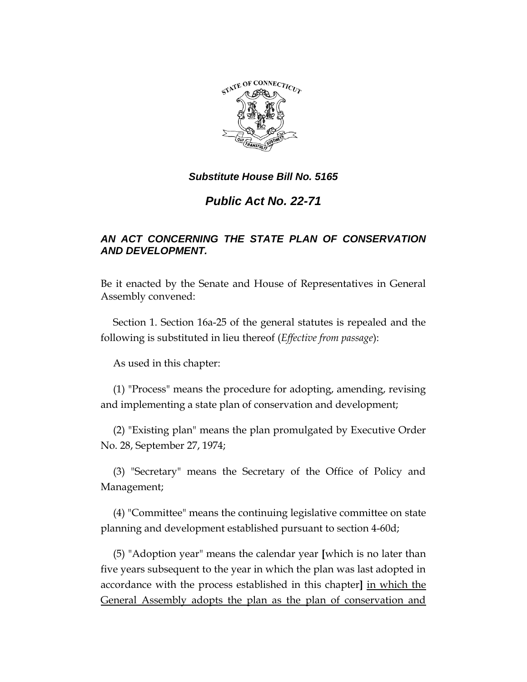

# *Public Act No. 22-71*

## *AN ACT CONCERNING THE STATE PLAN OF CONSERVATION AND DEVELOPMENT.*

Be it enacted by the Senate and House of Representatives in General Assembly convened:

Section 1. Section 16a-25 of the general statutes is repealed and the following is substituted in lieu thereof (*Effective from passage*):

As used in this chapter:

(1) "Process" means the procedure for adopting, amending, revising and implementing a state plan of conservation and development;

(2) "Existing plan" means the plan promulgated by Executive Order No. 28, September 27, 1974;

(3) "Secretary" means the Secretary of the Office of Policy and Management;

(4) "Committee" means the continuing legislative committee on state planning and development established pursuant to section 4-60d;

(5) "Adoption year" means the calendar year **[**which is no later than five years subsequent to the year in which the plan was last adopted in accordance with the process established in this chapter**]** in which the General Assembly adopts the plan as the plan of conservation and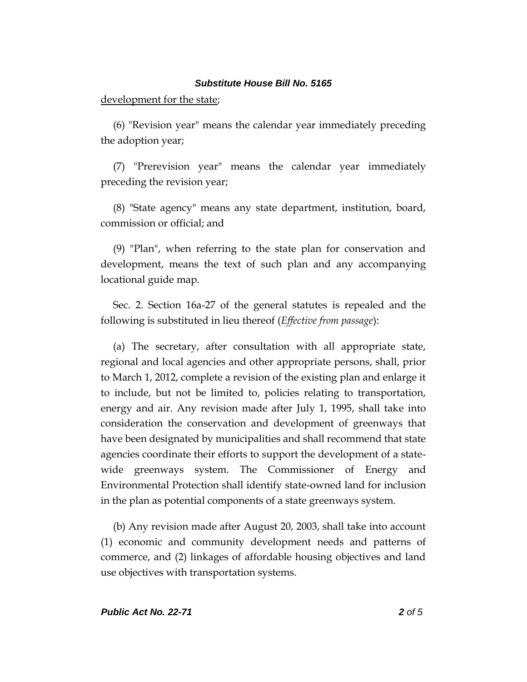#### development for the state;

(6) "Revision year" means the calendar year immediately preceding the adoption year;

(7) "Prerevision year" means the calendar year immediately preceding the revision year;

(8) "State agency" means any state department, institution, board, commission or official; and

(9) "Plan", when referring to the state plan for conservation and development, means the text of such plan and any accompanying locational guide map.

Sec. 2. Section 16a-27 of the general statutes is repealed and the following is substituted in lieu thereof (*Effective from passage*):

(a) The secretary, after consultation with all appropriate state, regional and local agencies and other appropriate persons, shall, prior to March 1, 2012, complete a revision of the existing plan and enlarge it to include, but not be limited to, policies relating to transportation, energy and air. Any revision made after July 1, 1995, shall take into consideration the conservation and development of greenways that have been designated by municipalities and shall recommend that state agencies coordinate their efforts to support the development of a statewide greenways system. The Commissioner of Energy and Environmental Protection shall identify state-owned land for inclusion in the plan as potential components of a state greenways system.

(b) Any revision made after August 20, 2003, shall take into account (1) economic and community development needs and patterns of commerce, and (2) linkages of affordable housing objectives and land use objectives with transportation systems.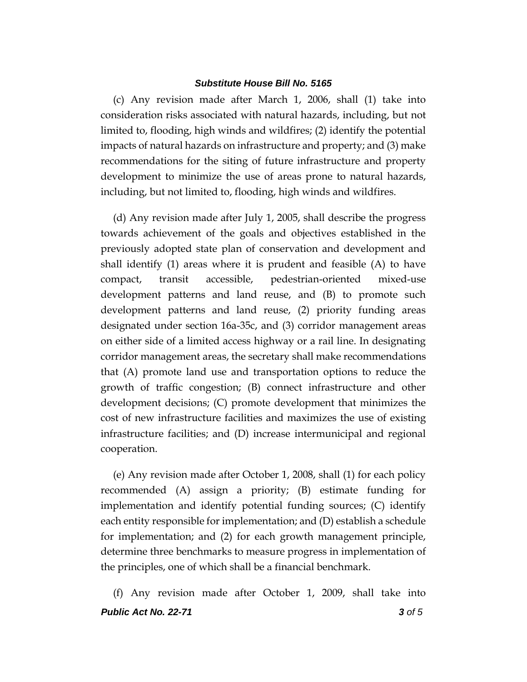(c) Any revision made after March 1, 2006, shall (1) take into consideration risks associated with natural hazards, including, but not limited to, flooding, high winds and wildfires; (2) identify the potential impacts of natural hazards on infrastructure and property; and (3) make recommendations for the siting of future infrastructure and property development to minimize the use of areas prone to natural hazards, including, but not limited to, flooding, high winds and wildfires.

(d) Any revision made after July 1, 2005, shall describe the progress towards achievement of the goals and objectives established in the previously adopted state plan of conservation and development and shall identify (1) areas where it is prudent and feasible (A) to have compact, transit accessible, pedestrian-oriented mixed-use development patterns and land reuse, and (B) to promote such development patterns and land reuse, (2) priority funding areas designated under section 16a-35c, and (3) corridor management areas on either side of a limited access highway or a rail line. In designating corridor management areas, the secretary shall make recommendations that (A) promote land use and transportation options to reduce the growth of traffic congestion; (B) connect infrastructure and other development decisions; (C) promote development that minimizes the cost of new infrastructure facilities and maximizes the use of existing infrastructure facilities; and (D) increase intermunicipal and regional cooperation.

(e) Any revision made after October 1, 2008, shall (1) for each policy recommended (A) assign a priority; (B) estimate funding for implementation and identify potential funding sources; (C) identify each entity responsible for implementation; and (D) establish a schedule for implementation; and (2) for each growth management principle, determine three benchmarks to measure progress in implementation of the principles, one of which shall be a financial benchmark.

*Public Act No. 22-71 3 of 5* (f) Any revision made after October 1, 2009, shall take into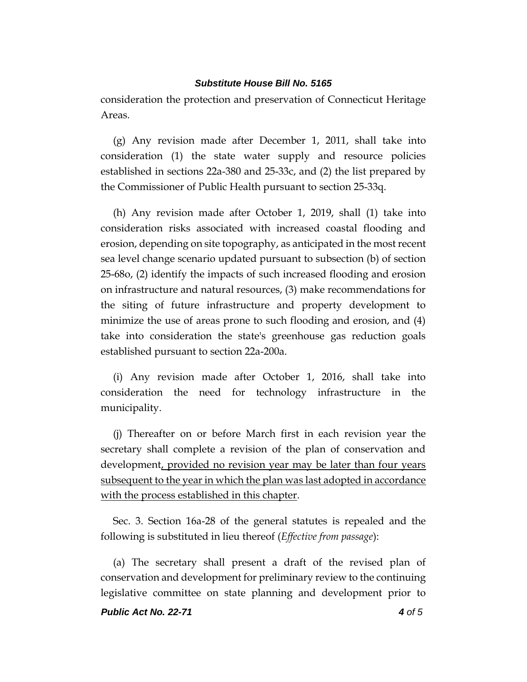consideration the protection and preservation of Connecticut Heritage Areas.

(g) Any revision made after December 1, 2011, shall take into consideration (1) the state water supply and resource policies established in sections 22a-380 and 25-33c, and (2) the list prepared by the Commissioner of Public Health pursuant to section 25-33q.

(h) Any revision made after October 1, 2019, shall (1) take into consideration risks associated with increased coastal flooding and erosion, depending on site topography, as anticipated in the most recent sea level change scenario updated pursuant to subsection (b) of section 25-68o, (2) identify the impacts of such increased flooding and erosion on infrastructure and natural resources, (3) make recommendations for the siting of future infrastructure and property development to minimize the use of areas prone to such flooding and erosion, and (4) take into consideration the state's greenhouse gas reduction goals established pursuant to section 22a-200a.

(i) Any revision made after October 1, 2016, shall take into consideration the need for technology infrastructure in the municipality.

(j) Thereafter on or before March first in each revision year the secretary shall complete a revision of the plan of conservation and development, provided no revision year may be later than four years subsequent to the year in which the plan was last adopted in accordance with the process established in this chapter.

Sec. 3. Section 16a-28 of the general statutes is repealed and the following is substituted in lieu thereof (*Effective from passage*):

(a) The secretary shall present a draft of the revised plan of conservation and development for preliminary review to the continuing legislative committee on state planning and development prior to